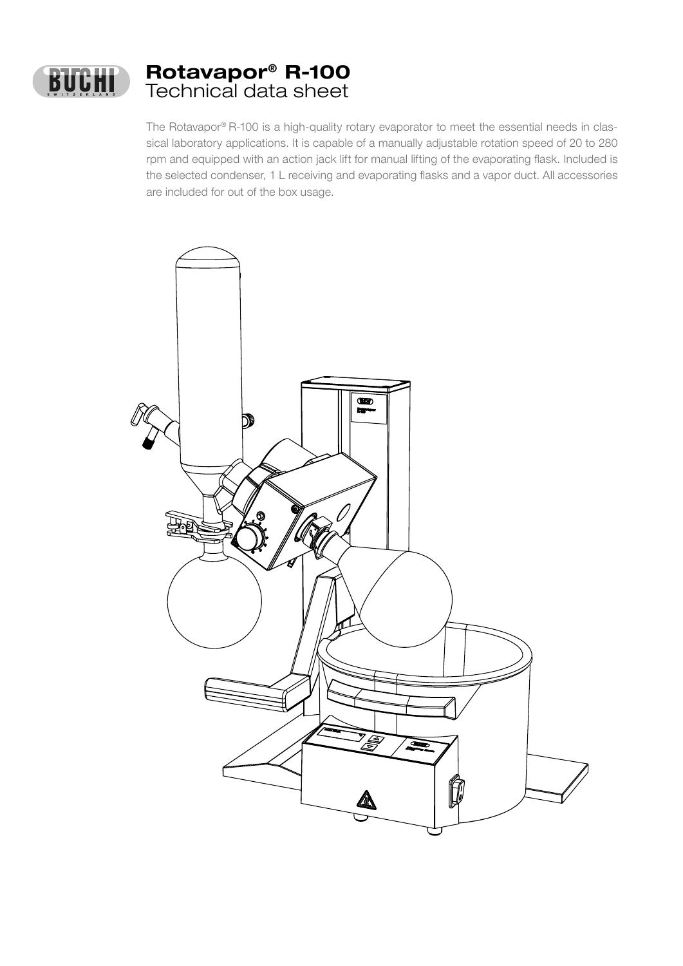

The Rotavapor® R-100 is a high-quality rotary evaporator to meet the essential needs in classical laboratory applications. It is capable of a manually adjustable rotation speed of 20 to 280 rpm and equipped with an action jack lift for manual lifting of the evaporating flask. Included is the selected condenser, 1 L receiving and evaporating flasks and a vapor duct. All accessories are included for out of the box usage.

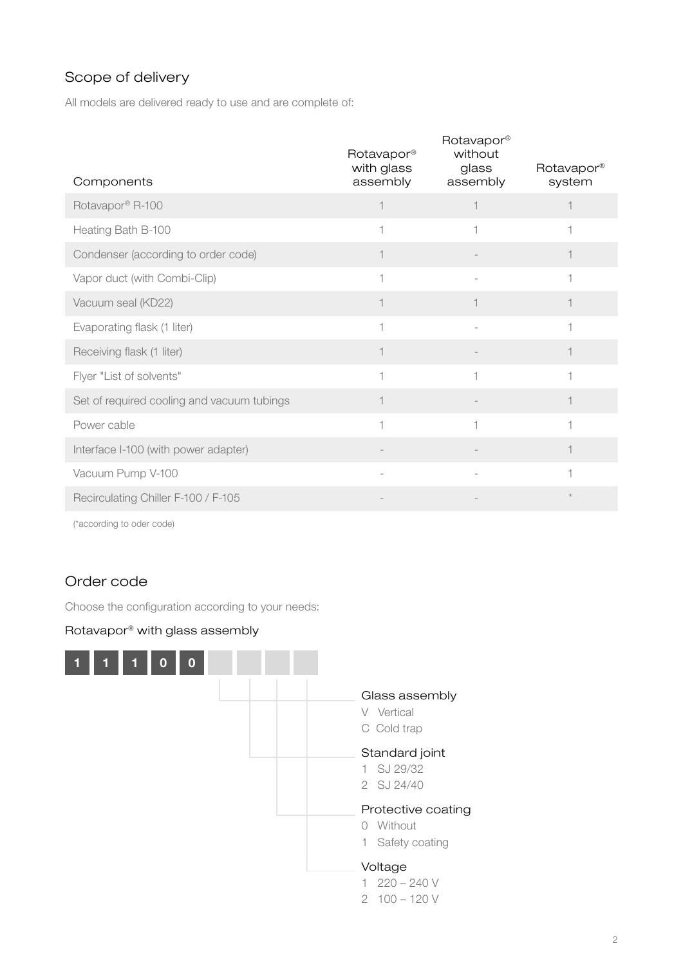## Scope of delivery

All models are delivered ready to use and are complete of:

| Components                                 | Rotavapor <sup>®</sup><br>with glass<br>assembly | Rotavapor <sup>®</sup><br>without<br>glass<br>assembly | Rotavapor <sup>®</sup><br>system |
|--------------------------------------------|--------------------------------------------------|--------------------------------------------------------|----------------------------------|
| Rotavapor® R-100                           | $\overline{\phantom{a}}$                         |                                                        |                                  |
| Heating Bath B-100                         |                                                  |                                                        |                                  |
| Condenser (according to order code)        |                                                  |                                                        |                                  |
| Vapor duct (with Combi-Clip)               |                                                  |                                                        |                                  |
| Vacuum seal (KD22)                         |                                                  |                                                        |                                  |
| Evaporating flask (1 liter)                | $\overline{\phantom{a}}$                         |                                                        |                                  |
| Receiving flask (1 liter)                  |                                                  |                                                        |                                  |
| Flyer "List of solvents"                   | $\overline{\phantom{a}}$                         | 1                                                      |                                  |
| Set of required cooling and vacuum tubings |                                                  |                                                        |                                  |
| Power cable                                | $\overline{\phantom{0}}$                         |                                                        |                                  |
| Interface I-100 (with power adapter)       |                                                  |                                                        |                                  |
| Vacuum Pump V-100                          |                                                  |                                                        |                                  |
| Recirculating Chiller F-100 / F-105        |                                                  |                                                        | $\star$                          |

(\*according to oder code)

# Order code

Choose the configuration according to your needs:

### Rotavapor® with glass assembly

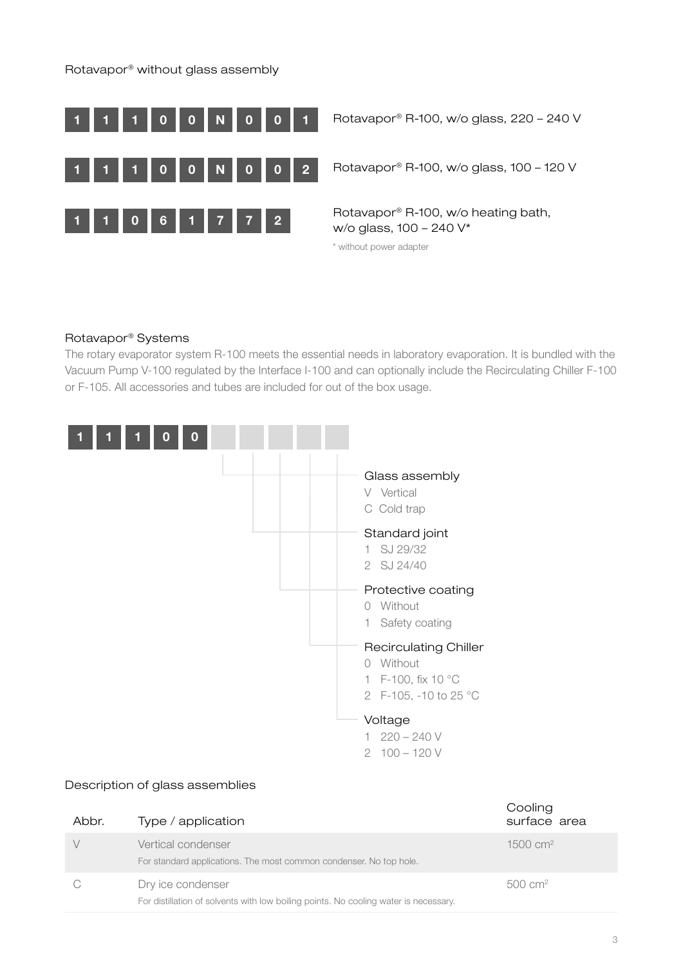#### Rotavapor® without glass assembly



**0** 0 N 0 0 0 1 Rotavapor® R-100, w/o glass, 220 – 240 V

 $0$  0 N 0 0 0 2 Rotavapor® R-100, w/o glass, 100 – 120 V

**0** 6 1 7 7 2 Rotavapor® R-100, w/o heating bath, w/o glass, 100 – 240 V\*

\* without power adapter

#### Rotavapor® Systems

The rotary evaporator system R-100 meets the essential needs in laboratory evaporation. It is bundled with the Vacuum Pump V-100 regulated by the Interface I-100 and can optionally include the Recirculating Chiller F-100 or F-105. All accessories and tubes are included for out of the box usage.



#### Description of glass assemblies

| Abbr. | Type / application                                                                                        | Cooling<br>surface area |
|-------|-----------------------------------------------------------------------------------------------------------|-------------------------|
|       | Vertical condenser<br>For standard applications. The most common condenser. No top hole.                  | $1500 \, cm^2$          |
|       | Dry ice condenser<br>For distillation of solvents with low boiling points. No cooling water is necessary. | $500 \, \text{cm}^2$    |

 $\sim$   $\sim$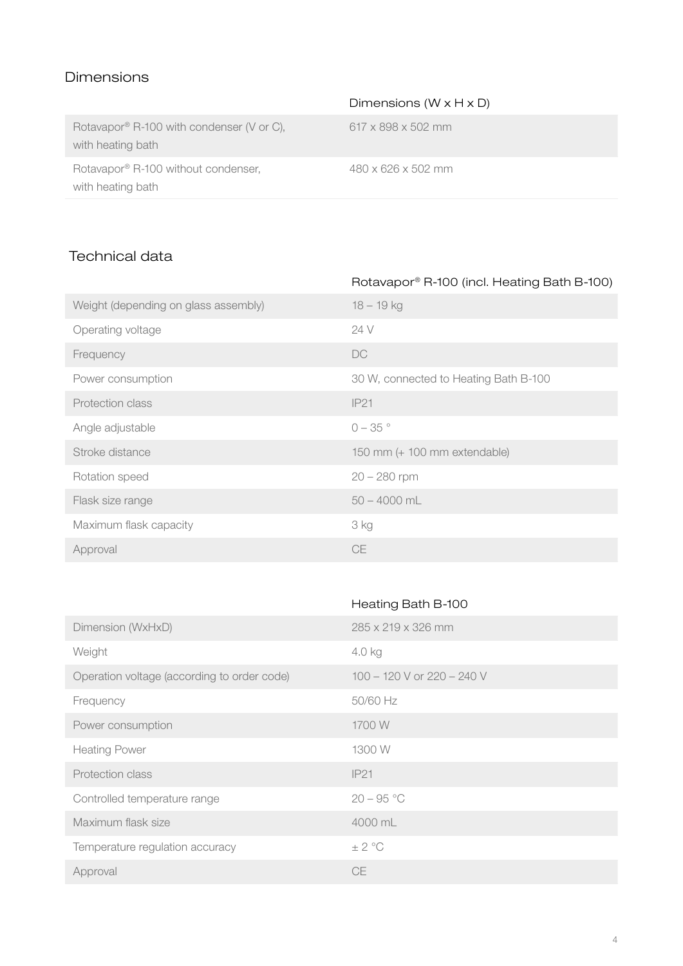## Dimensions

|                                                                | Dimensions ( $W \times H \times D$ ) |
|----------------------------------------------------------------|--------------------------------------|
| Rotavapor® R-100 with condenser (V or C),<br>with heating bath | $617 \times 898 \times 502$ mm       |
| Rotavapor® R-100 without condenser,<br>with heating bath       | $480 \times 626 \times 502$ mm       |

## Technical data

| Rotavapor® R-100 (incl. Heating Bath B-100) |
|---------------------------------------------|
| $18 - 19$ kg                                |
| 24 V                                        |
| DC                                          |
| 30 W, connected to Heating Bath B-100       |
| IP21                                        |
| $0 - 35$ °                                  |
| 150 mm (+ 100 mm extendable)                |
| $20 - 280$ rpm                              |
| $50 - 4000$ mL                              |
| 3 kg                                        |
| <b>CE</b>                                   |
|                                             |

|                                             | Heating Bath B-100         |
|---------------------------------------------|----------------------------|
| Dimension (WxHxD)                           | 285 x 219 x 326 mm         |
| Weight                                      | 4.0 kg                     |
| Operation voltage (according to order code) | 100 - 120 V or 220 - 240 V |
| Frequency                                   | 50/60 Hz                   |
| Power consumption                           | 1700 W                     |
| <b>Heating Power</b>                        | 1300 W                     |
| Protection class                            | IP21                       |
| Controlled temperature range                | $20 - 95 °C$               |
| Maximum flask size                          | 4000 mL                    |
| Temperature regulation accuracy             | $\pm$ 2 °C                 |
| Approval                                    | <b>CE</b>                  |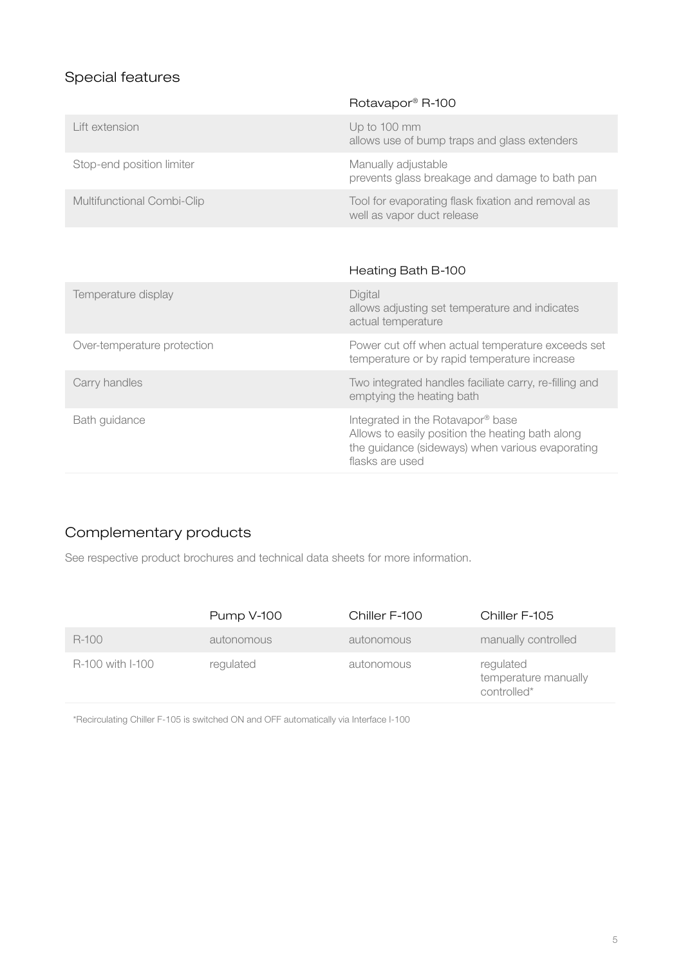# Special features

|                             | Rotavapor <sup>®</sup> R-100                                                                                                                                 |
|-----------------------------|--------------------------------------------------------------------------------------------------------------------------------------------------------------|
| Lift extension              | Up to 100 mm<br>allows use of bump traps and glass extenders                                                                                                 |
| Stop-end position limiter   | Manually adjustable<br>prevents glass breakage and damage to bath pan                                                                                        |
| Multifunctional Combi-Clip  | Tool for evaporating flask fixation and removal as<br>well as vapor duct release                                                                             |
|                             |                                                                                                                                                              |
|                             | Heating Bath B-100                                                                                                                                           |
| Temperature display         | Digital<br>allows adjusting set temperature and indicates<br>actual temperature                                                                              |
| Over-temperature protection | Power cut off when actual temperature exceeds set<br>temperature or by rapid temperature increase                                                            |
| Carry handles               | Two integrated handles faciliate carry, re-filling and<br>emptying the heating bath                                                                          |
| Bath guidance               | Integrated in the Rotavapor® base<br>Allows to easily position the heating bath along<br>the guidance (sideways) when various evaporating<br>flasks are used |

## Complementary products

See respective product brochures and technical data sheets for more information.

|                  | <b>Pump V-100</b> | Chiller F-100 | Chiller F-105                                    |
|------------------|-------------------|---------------|--------------------------------------------------|
| R-100            | autonomous        | autonomous    | manually controlled                              |
| R-100 with I-100 | regulated         | autonomous    | regulated<br>temperature manually<br>controlled* |

\*Recirculating Chiller F-105 is switched ON and OFF automatically via Interface I-100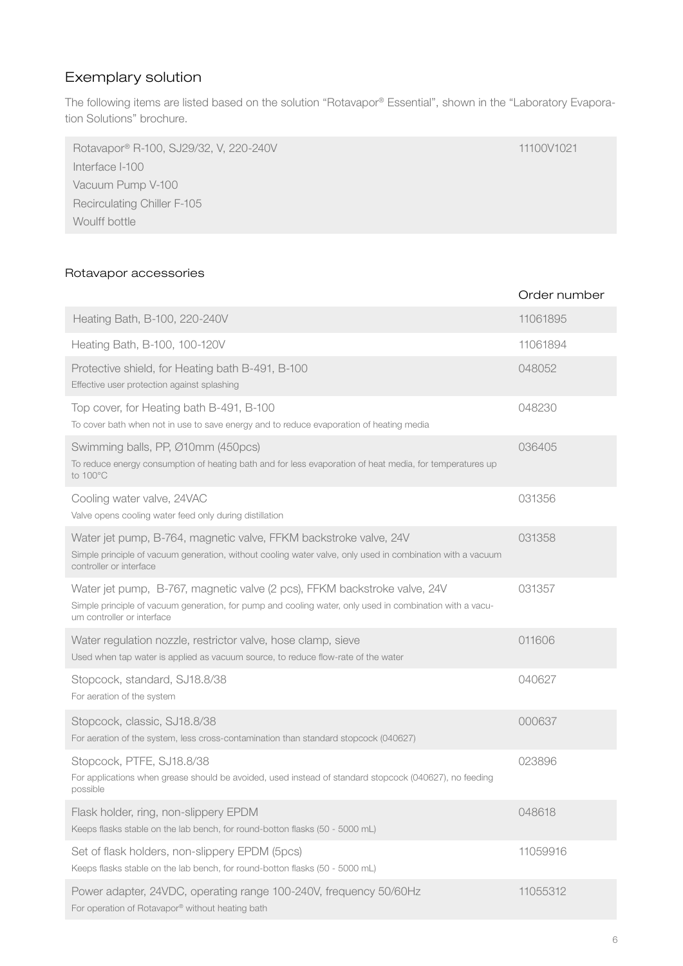# Exemplary solution

The following items are listed based on the solution "Rotavapor® Essential", shown in the "Laboratory Evaporation Solutions" brochure.

| Rotavapor® R-100, SJ29/32, V, 220-240V | 11100V1021 |
|----------------------------------------|------------|
| Interface I-100                        |            |
| Vacuum Pump V-100                      |            |
| <b>Recirculating Chiller F-105</b>     |            |
| Woulff bottle                          |            |

### Rotavapor accessories

|                                                                                                                                                                                                                     | Order number |
|---------------------------------------------------------------------------------------------------------------------------------------------------------------------------------------------------------------------|--------------|
| Heating Bath, B-100, 220-240V                                                                                                                                                                                       | 11061895     |
| Heating Bath, B-100, 100-120V                                                                                                                                                                                       | 11061894     |
| Protective shield, for Heating bath B-491, B-100<br>Effective user protection against splashing                                                                                                                     | 048052       |
| Top cover, for Heating bath B-491, B-100<br>To cover bath when not in use to save energy and to reduce evaporation of heating media                                                                                 | 048230       |
| Swimming balls, PP, Ø10mm (450pcs)<br>To reduce energy consumption of heating bath and for less evaporation of heat media, for temperatures up<br>to 100°C                                                          | 036405       |
| Cooling water valve, 24VAC<br>Valve opens cooling water feed only during distillation                                                                                                                               | 031356       |
| Water jet pump, B-764, magnetic valve, FFKM backstroke valve, 24V<br>Simple principle of vacuum generation, without cooling water valve, only used in combination with a vacuum<br>controller or interface          | 031358       |
| Water jet pump, B-767, magnetic valve (2 pcs), FFKM backstroke valve, 24V<br>Simple principle of vacuum generation, for pump and cooling water, only used in combination with a vacu-<br>um controller or interface | 031357       |
| Water regulation nozzle, restrictor valve, hose clamp, sieve<br>Used when tap water is applied as vacuum source, to reduce flow-rate of the water                                                                   | 011606       |
| Stopcock, standard, SJ18.8/38<br>For aeration of the system                                                                                                                                                         | 040627       |
| Stopcock, classic, SJ18.8/38<br>For aeration of the system, less cross-contamination than standard stopcock (040627)                                                                                                | 000637       |
| Stopcock, PTFE, SJ18.8/38<br>For applications when grease should be avoided, used instead of standard stopcock (040627), no feeding<br>possible                                                                     | 023896       |
| Flask holder, ring, non-slippery EPDM<br>Keeps flasks stable on the lab bench, for round-botton flasks (50 - 5000 mL)                                                                                               | 048618       |
| Set of flask holders, non-slippery EPDM (5pcs)<br>Keeps flasks stable on the lab bench, for round-botton flasks (50 - 5000 mL)                                                                                      | 11059916     |
| Power adapter, 24VDC, operating range 100-240V, frequency 50/60Hz<br>For operation of Rotavapor® without heating bath                                                                                               | 11055312     |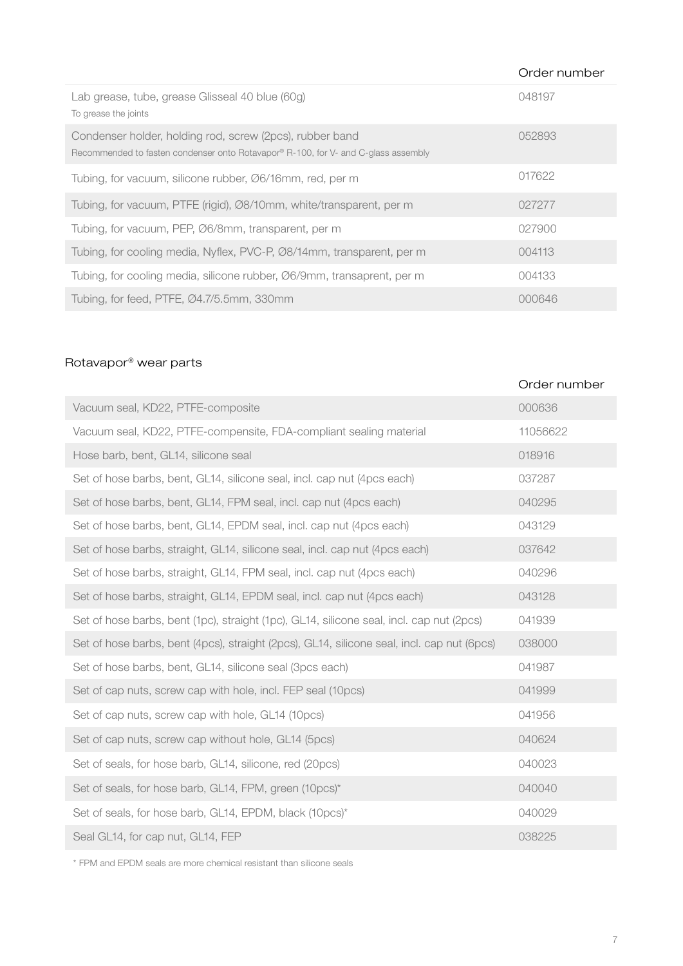|                                                                                                                                                | Order number |
|------------------------------------------------------------------------------------------------------------------------------------------------|--------------|
| Lab grease, tube, grease Glisseal 40 blue (60g)<br>To grease the joints                                                                        | 048197       |
| Condenser holder, holding rod, screw (2pcs), rubber band<br>Recommended to fasten condenser onto Rotavapor® R-100, for V- and C-glass assembly | 052893       |
| Tubing, for vacuum, silicone rubber, Ø6/16mm, red, per m                                                                                       | 017622       |
| Tubing, for vacuum, PTFE (rigid), Ø8/10mm, white/transparent, per m                                                                            | 027277       |
| Tubing, for vacuum, PEP, Ø6/8mm, transparent, per m                                                                                            | 027900       |
| Tubing, for cooling media, Nyflex, PVC-P, Ø8/14mm, transparent, per m                                                                          | 004113       |
| Tubing, for cooling media, silicone rubber, Ø6/9mm, transaprent, per m                                                                         | 004133       |
| Tubing, for feed, PTFE, Ø4.7/5.5mm, 330mm                                                                                                      | 000646       |

## Rotavapor® wear parts

|                                                                                            | Order number |
|--------------------------------------------------------------------------------------------|--------------|
| Vacuum seal, KD22, PTFE-composite                                                          | 000636       |
| Vacuum seal, KD22, PTFE-compensite, FDA-compliant sealing material                         | 11056622     |
| Hose barb, bent, GL14, silicone seal                                                       | 018916       |
| Set of hose barbs, bent, GL14, silicone seal, incl. cap nut (4pcs each)                    | 037287       |
| Set of hose barbs, bent, GL14, FPM seal, incl. cap nut (4pcs each)                         | 040295       |
| Set of hose barbs, bent, GL14, EPDM seal, incl. cap nut (4pcs each)                        | 043129       |
| Set of hose barbs, straight, GL14, silicone seal, incl. cap nut (4pcs each)                | 037642       |
| Set of hose barbs, straight, GL14, FPM seal, incl. cap nut (4pcs each)                     | 040296       |
| Set of hose barbs, straight, GL14, EPDM seal, incl. cap nut (4pcs each)                    | 043128       |
| Set of hose barbs, bent (1pc), straight (1pc), GL14, silicone seal, incl. cap nut (2pcs)   | 041939       |
| Set of hose barbs, bent (4pcs), straight (2pcs), GL14, silicone seal, incl. cap nut (6pcs) | 038000       |
| Set of hose barbs, bent, GL14, silicone seal (3pcs each)                                   | 041987       |
| Set of cap nuts, screw cap with hole, incl. FEP seal (10pcs)                               | 041999       |
| Set of cap nuts, screw cap with hole, GL14 (10pcs)                                         | 041956       |
| Set of cap nuts, screw cap without hole, GL14 (5pcs)                                       | 040624       |
| Set of seals, for hose barb, GL14, silicone, red (20pcs)                                   | 040023       |
| Set of seals, for hose barb, GL14, FPM, green (10pcs)*                                     | 040040       |
| Set of seals, for hose barb, GL14, EPDM, black (10pcs)*                                    | 040029       |
| Seal GL14, for cap nut, GL14, FEP                                                          | 038225       |

\* FPM and EPDM seals are more chemical resistant than silicone seals